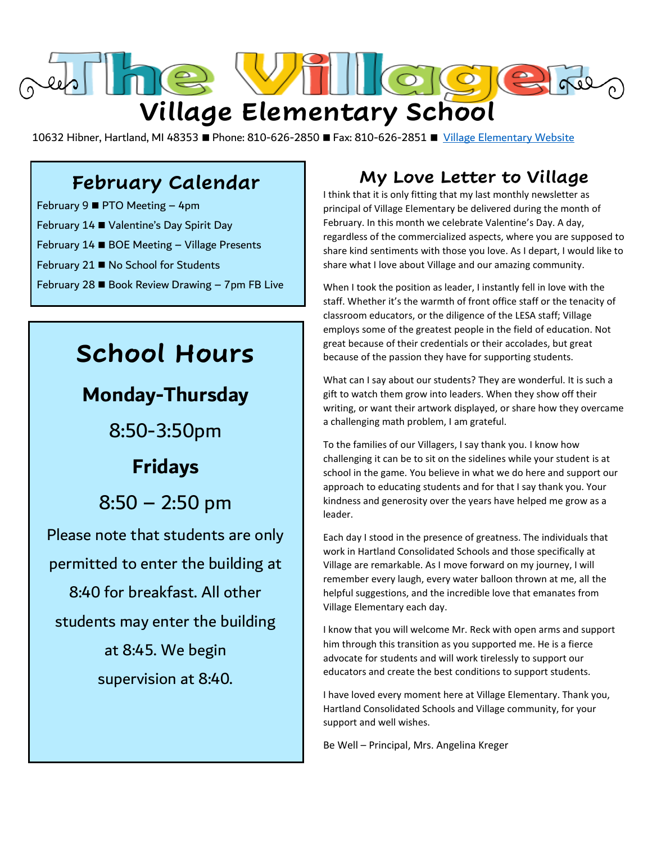

10632 Hibner, Hartland, MI 48353 ■ Phone: 810-626-2850 ■ Fax: 810-626-2851 ■ [Village Elementary Website](http://village.hartlandschools.us/)

### **February Calendar**

February 9 **PTO** Meeting  $-4$ pm February 14 ■ Valentine's Day Spirit Day February 14 ■ BOE Meeting - Village Presents February 21 ■ No School for Students February 28  $\blacksquare$  Book Review Drawing - 7pm FB Live

## **School Hours**

### **Monday-Thursday**

8:50-3:50pm

## **Fridays**

8:50 – 2:50 pm

Please note that students are only permitted to enter the building at 8:40 for breakfast. All other students may enter the building at 8:45. We begin supervision at 8:40.

### **My Love Letter to Village**

I think that it is only fitting that my last monthly newsletter as principal of Village Elementary be delivered during the month of February. In this month we celebrate Valentine's Day. A day, regardless of the commercialized aspects, where you are supposed to share kind sentiments with those you love. As I depart, I would like to share what I love about Village and our amazing community.

When I took the position as leader, I instantly fell in love with the staff. Whether it's the warmth of front office staff or the tenacity of classroom educators, or the diligence of the LESA staff; Village employs some of the greatest people in the field of education. Not great because of their credentials or their accolades, but great because of the passion they have for supporting students.

What can I say about our students? They are wonderful. It is such a gift to watch them grow into leaders. When they show off their writing, or want their artwork displayed, or share how they overcame a challenging math problem, I am grateful.

To the families of our Villagers, I say thank you. I know how challenging it can be to sit on the sidelines while your student is at school in the game. You believe in what we do here and support our approach to educating students and for that I say thank you. Your kindness and generosity over the years have helped me grow as a leader.

Each day I stood in the presence of greatness. The individuals that work in Hartland Consolidated Schools and those specifically at Village are remarkable. As I move forward on my journey, I will remember every laugh, every water balloon thrown at me, all the helpful suggestions, and the incredible love that emanates from Village Elementary each day.

I know that you will welcome Mr. Reck with open arms and support him through this transition as you supported me. He is a fierce advocate for students and will work tirelessly to support our educators and create the best conditions to support students.

I have loved every moment here at Village Elementary. Thank you, Hartland Consolidated Schools and Village community, for your support and well wishes.

Be Well – Principal, Mrs. Angelina Kreger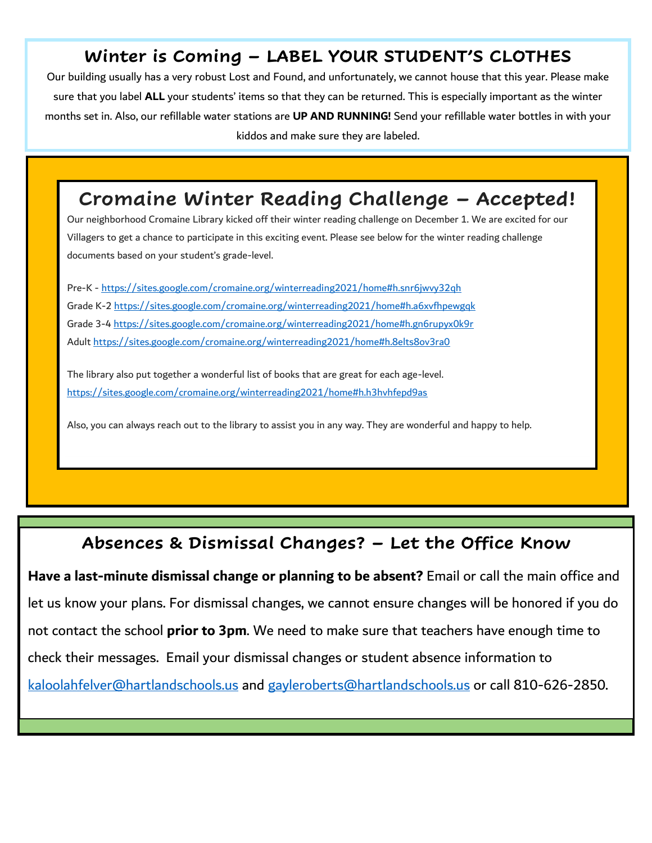### **Winter is Coming – LABEL YOUR STUDENT'S CLOTHES**

Our building usually has a very robust Lost and Found, and unfortunately, we cannot house that this year. Please make sure that you label **ALL** your students' items so that they can be returned. This is especially important as the winter months set in. Also, our refillable water stations are **UP AND RUNNING!** Send your refillable water bottles in with your kiddos and make sure they are labeled.

### **Cromaine Winter Reading Challenge – Accepted!**

Our neighborhood Cromaine Library kicked off their winter reading challenge on December 1. We are excited for our Villagers to get a chance to participate in this exciting event. Please see below for the winter reading challenge documents based on your student's grade-level.

Pre-K - https://sites.google.com/cromaine.org/winterreading2021/home#h.snr6jwvy32qh Grade K-2 https://sites.google.com/cromaine.org/winterreading2021/home#h.a6xvfhpewgqk Grade 3-4 https://sites.google.com/cromaine.org/winterreading2021/home#h.gn6rupyx0k9r Adult https://sites.google.com/cromaine.org/winterreading2021/home#h.8elts8ov3ra0

The library also put together a wonderful list of books that are great for each age-level. https://sites.google.com/cromaine.org/winterreading2021/home#h.h3hvhfepd9as

Also, you can always reach out to the library to assist you in any way. They are wonderful and happy to help.

#### **Absences & Dismissal Changes? – Let the Office Know**

**Have a last-minute dismissal change or planning to be absent?** Email or call the main office and let us know your plans. For dismissal changes, we cannot ensure changes will be honored if you do not contact the school **prior to 3pm**. We need to make sure that teachers have enough time to check their messages. Email your dismissal changes or student absence information to [kaloolahfelver@hartlandschools.us](mailto:kaloolahfelver@hartlandschools.us) and [gayleroberts@hartlandschools.us](mailto:gayleroberts@hartlandschools.us) or call 810-626-2850.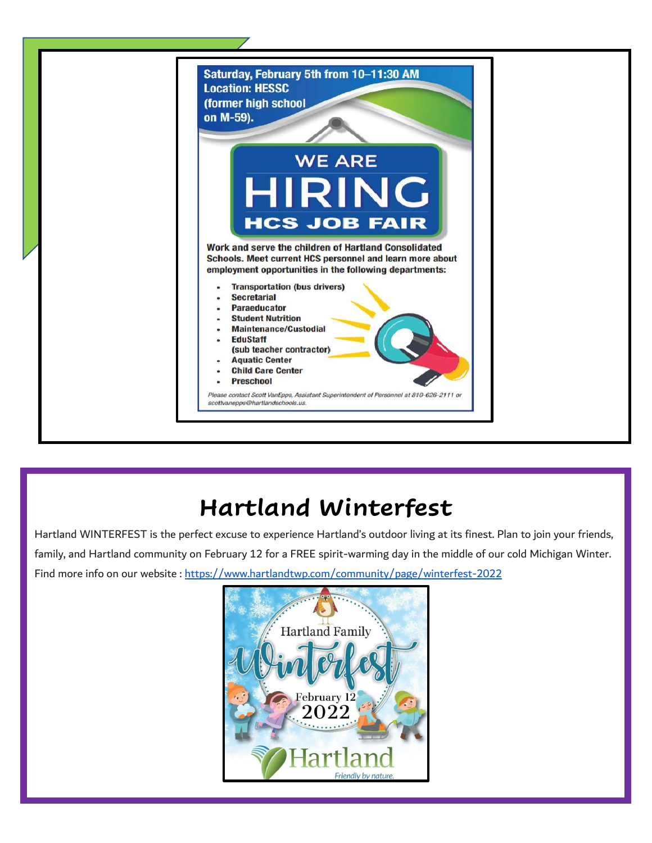

# **Hartland Winterfest**

Hartland WINTERFEST is the perfect excuse to experience Hartland's outdoor living at its finest. Plan to join your friends, family, and Hartland community on February 12 for a FREE spirit-warming day in the middle of our cold Michigan Winter. Find more info on our website : <https://www.hartlandtwp.com/community/page/winterfest-2022>

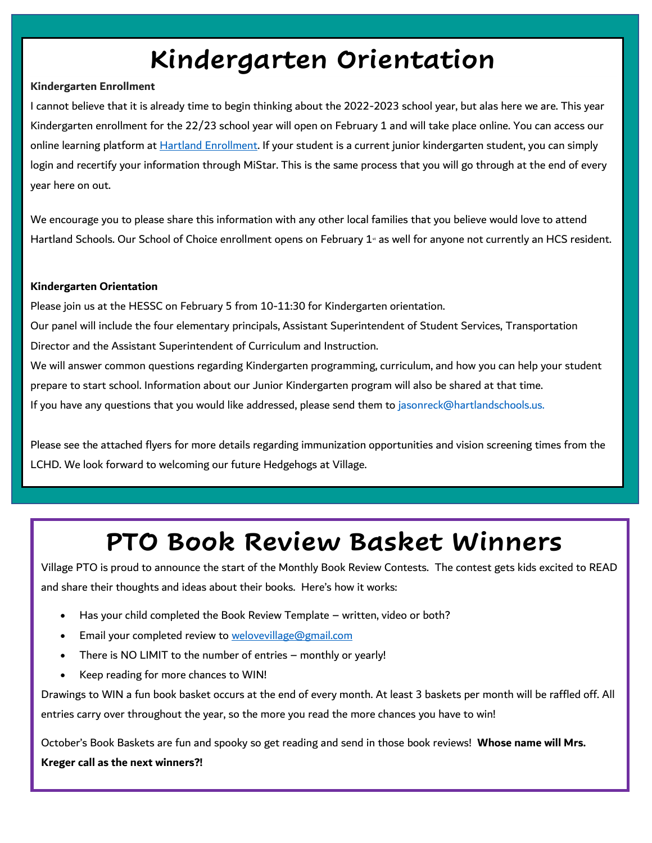# **Kindergarten Orientation**

#### **Kindergarten Enrollment**

I cannot believe that it is already time to begin thinking about the 2022-2023 school year, but alas here we are. This year Kindergarten enrollment for the 22/23 school year will open on February 1 and will take place online. You can access our online learning platform at Hartland Enrollment. If your student is a current junior kindergarten student, you can simply login and recertify your information through MiStar. This is the same process that you will go through at the end of every year here on out.

We encourage you to please share this information with any other local families that you believe would love to attend Hartland Schools. Our School of Choice enrollment opens on February 1<sup>s</sup> as well for anyone not currently an HCS resident.

#### **Kindergarten Orientation**

Please join us at the HESSC on February 5 from 10-11:30 for Kindergarten orientation.

Our panel will include the four elementary principals, Assistant Superintendent of Student Services, Transportation Director and the Assistant Superintendent of Curriculum and Instruction.

We will answer common questions regarding Kindergarten programming, curriculum, and how you can help your student prepare to start school. Information about our Junior Kindergarten program will also be shared at that time. If you have any questions that you would like addressed, please send them to jasonreck@hartlandschools.us.

Please see the attached flyers for more details regarding immunization opportunities and vision screening times from the LCHD. We look forward to welcoming our future Hedgehogs at Village.

# **PTO Book Review Basket Winners**

Village PTO is proud to announce the start of the Monthly Book Review Contests. The contest gets kids excited to READ and share their thoughts and ideas about their books. Here's how it works:

• Has your child completed the Book Review Template – written, video or both?

**Check out the baskets in our showcase to see what you could win this month!** 

- Email your completed review to welovevillage@gmail.com
- There is NO LIMIT to the number of entries monthly or yearly!
- Keep reading for more chances to WIN!

Drawings to WIN a fun book basket occurs at the end of every month. At least 3 baskets per month will be raffled off. All entries carry over throughout the year, so the more you read the more chances you have to win!

October's Book Baskets are fun and spooky so get reading and send in those book reviews! **Whose name will Mrs. Kreger call as the next winners?!**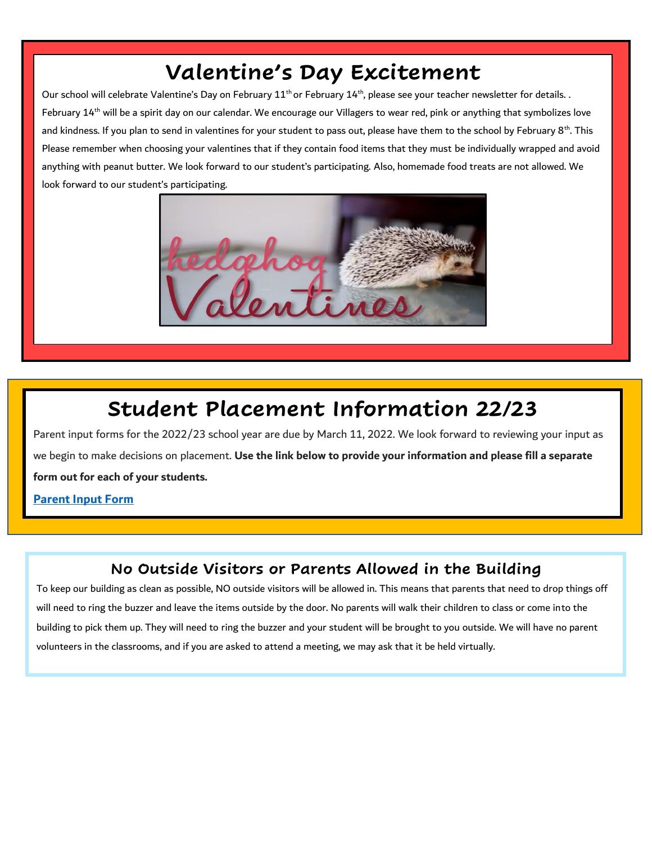## **Valentine's Day Excitement**

Our school will celebrate Valentine's Day on February  $11^{th}$  or February  $14^{th}$ , please see your teacher newsletter for details.. February 14<sup>th</sup> will be a spirit day on our calendar. We encourage our Villagers to wear red, pink or anything that symbolizes love and kindness. If you plan to send in valentines for your student to pass out, please have them to the school by February 8<sup>th</sup>. This Please remember when choosing your valentines that if they contain food items that they must be individually wrapped and avoid anything with peanut butter. We look forward to our student's participating. Also, homemade food treats are not allowed. We look forward to our student's participating.



## **Student Placement Information 22/23**

Parent input forms for the 2022/23 school year are due by March 11, 2022. We look forward to reviewing your input as we begin to make decisions on placement. **Use the link below to provide your information and please fill a separate form out for each of your students.**

**[Parent Input Form](https://docs.google.com/forms/d/e/1FAIpQLSeqKP2JDtre9vAStrdzb-sw30pGLc6LdxjJ6Thp4YLlktuTHg/viewform)** 

#### **No Outside Visitors or Parents Allowed in the Building**

To keep our building as clean as possible, NO outside visitors will be allowed in. This means that parents that need to drop things off will need to ring the buzzer and leave the items outside by the door. No parents will walk their children to class or come into the building to pick them up. They will need to ring the buzzer and your student will be brought to you outside. We will have no parent volunteers in the classrooms, and if you are asked to attend a meeting, we may ask that it be held virtually.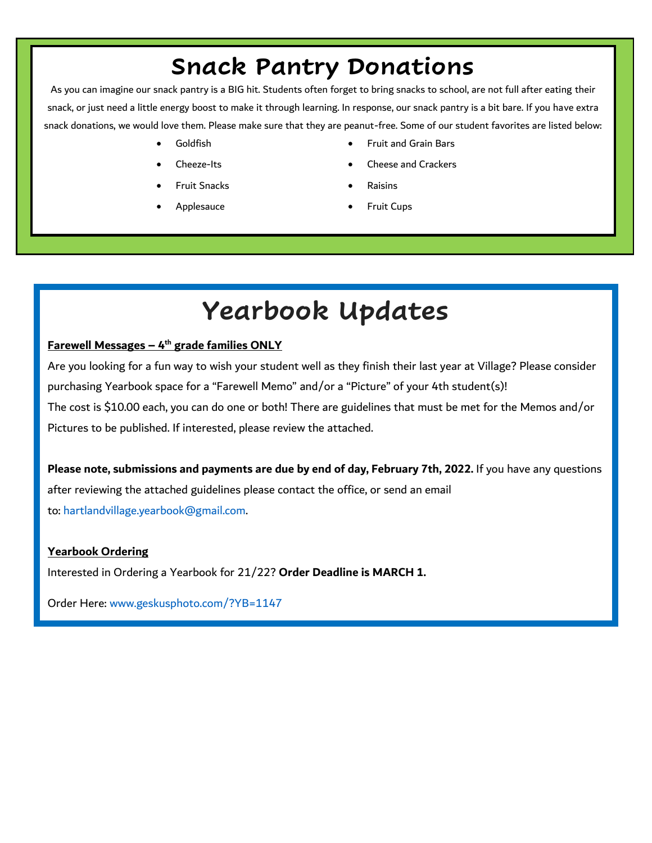# **Snack Pantry Donations**

As you can imagine our snack pantry is a BIG hit. Students often forget to bring snacks to school, are not full after eating their snack, or just need a little energy boost to make it through learning. In response, our snack pantry is a bit bare. If you have extra snack donations, we would love them. Please make sure that they are peanut-free. Some of our student favorites are listed below:

- 
- 
- Fruit Snacks Raisins
- 
- Goldfish Fruit and Grain Bars
- Cheeze-Its Cheese and Crackers
	-
- Applesauce **•** Fruit Cups

# **Yearbook Updates**

#### **Farewell Messages – 4 th grade families ONLY**

Are you looking for a fun way to wish your student well as they finish their last year at Village? Please consider purchasing Yearbook space for a "Farewell Memo" and/or a "Picture" of your 4th student(s)! The cost is \$10.00 each, you can do one or both! There are guidelines that must be met for the Memos and/or Pictures to be published. If interested, please review the attached.

**Please note, submissions and payments are due by end of day, February 7th, 2022.** If you have any questions after reviewing the attached guidelines please contact the office, or send an email to: [hartlandvillage.yearbook@gmail.com.](mailto:hartlandvillage.yearbook@gmail.com)

#### **Yearbook Ordering**

Interested in Ordering a Yearbook for 21/22? **Order Deadline is MARCH 1.**

Order Here: [www.geskusphoto.com/?YB=1147](http://www.geskusphoto.com/?YB=1147&fbclid=IwAR3zCLT-oB3QFSi6UYltTri0Xu6ehz3Npt4ismiF_N68sp0iqTzpsCEbPhs)